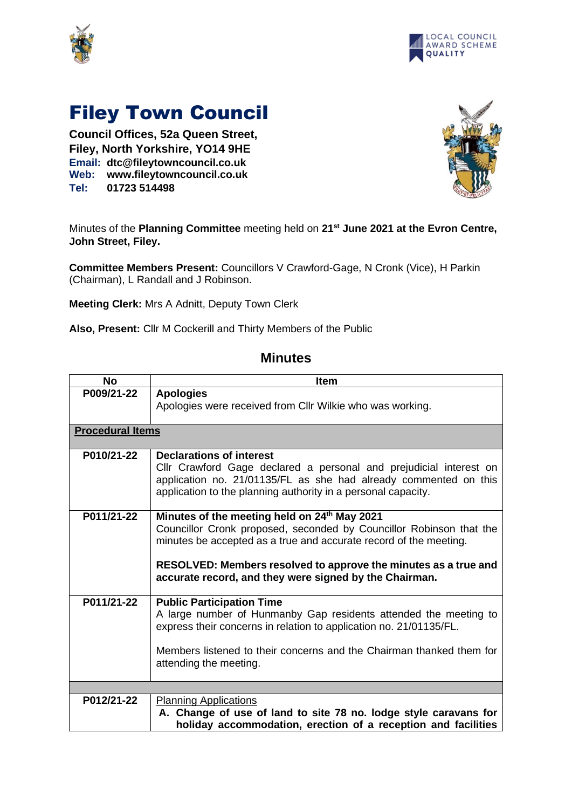



## Filey Town Council

**Council Offices, 52a Queen Street, Filey, North Yorkshire, YO14 9HE Email: dtc@fileytowncouncil.co.uk Web: www.fileytowncouncil.co.uk Tel: 01723 514498**



Minutes of the **Planning Committee** meeting held on **21 st June 2021 at the Evron Centre, John Street, Filey.**

**Committee Members Present:** Councillors V Crawford-Gage, N Cronk (Vice), H Parkin (Chairman), L Randall and J Robinson.

**Meeting Clerk:** Mrs A Adnitt, Deputy Town Clerk

**Also, Present:** Cllr M Cockerill and Thirty Members of the Public

## **Minutes**

| <b>No</b>               | <b>Item</b>                                                                                                                                                                                                                                                                                                                       |  |
|-------------------------|-----------------------------------------------------------------------------------------------------------------------------------------------------------------------------------------------------------------------------------------------------------------------------------------------------------------------------------|--|
| P009/21-22              | <b>Apologies</b><br>Apologies were received from Cllr Wilkie who was working.                                                                                                                                                                                                                                                     |  |
| <b>Procedural Items</b> |                                                                                                                                                                                                                                                                                                                                   |  |
| P010/21-22              | <b>Declarations of interest</b><br>Cllr Crawford Gage declared a personal and prejudicial interest on<br>application no. 21/01135/FL as she had already commented on this<br>application to the planning authority in a personal capacity.                                                                                        |  |
| P011/21-22              | Minutes of the meeting held on 24 <sup>th</sup> May 2021<br>Councillor Cronk proposed, seconded by Councillor Robinson that the<br>minutes be accepted as a true and accurate record of the meeting.<br>RESOLVED: Members resolved to approve the minutes as a true and<br>accurate record, and they were signed by the Chairman. |  |
| P011/21-22              | <b>Public Participation Time</b><br>A large number of Hunmanby Gap residents attended the meeting to<br>express their concerns in relation to application no. 21/01135/FL.<br>Members listened to their concerns and the Chairman thanked them for<br>attending the meeting.                                                      |  |
|                         |                                                                                                                                                                                                                                                                                                                                   |  |
| P012/21-22              | <b>Planning Applications</b><br>A. Change of use of land to site 78 no. lodge style caravans for<br>holiday accommodation, erection of a reception and facilities                                                                                                                                                                 |  |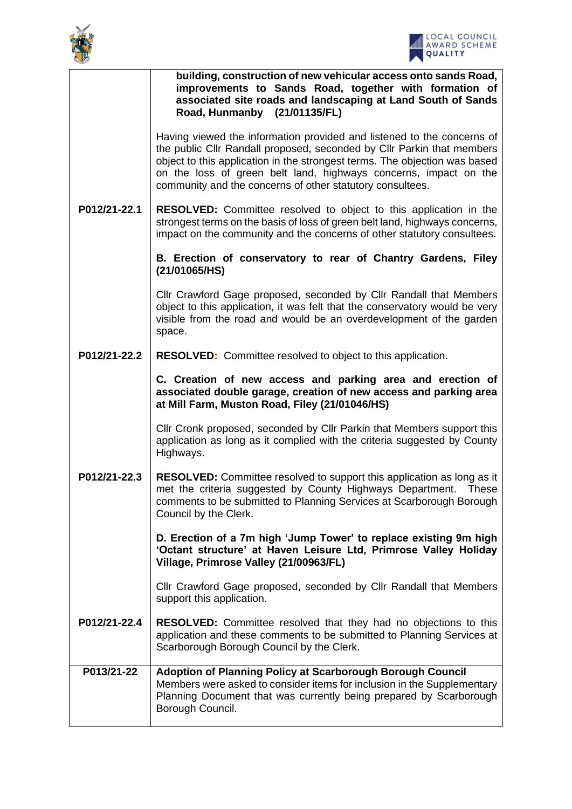



|              | building, construction of new vehicular access onto sands Road,<br>improvements to Sands Road, together with formation of<br>associated site roads and landscaping at Land South of Sands<br>Road, Hunmanby (21/01135/FL)                                                                                                                                       |
|--------------|-----------------------------------------------------------------------------------------------------------------------------------------------------------------------------------------------------------------------------------------------------------------------------------------------------------------------------------------------------------------|
|              | Having viewed the information provided and listened to the concerns of<br>the public Cllr Randall proposed, seconded by Cllr Parkin that members<br>object to this application in the strongest terms. The objection was based<br>on the loss of green belt land, highways concerns, impact on the<br>community and the concerns of other statutory consultees. |
| P012/21-22.1 | <b>RESOLVED:</b> Committee resolved to object to this application in the<br>strongest terms on the basis of loss of green belt land, highways concerns,<br>impact on the community and the concerns of other statutory consultees.                                                                                                                              |
|              | B. Erection of conservatory to rear of Chantry Gardens, Filey<br>(21/01065/HS)                                                                                                                                                                                                                                                                                  |
|              | Cllr Crawford Gage proposed, seconded by Cllr Randall that Members<br>object to this application, it was felt that the conservatory would be very<br>visible from the road and would be an overdevelopment of the garden<br>space.                                                                                                                              |
| P012/21-22.2 | <b>RESOLVED:</b> Committee resolved to object to this application.                                                                                                                                                                                                                                                                                              |
|              | C. Creation of new access and parking area and erection of<br>associated double garage, creation of new access and parking area<br>at Mill Farm, Muston Road, Filey (21/01046/HS)                                                                                                                                                                               |
|              | Cllr Cronk proposed, seconded by Cllr Parkin that Members support this<br>application as long as it complied with the criteria suggested by County<br>Highways.                                                                                                                                                                                                 |
| P012/21-22.3 | <b>RESOLVED:</b> Committee resolved to support this application as long as it<br>met the criteria suggested by County Highways Department. These<br>comments to be submitted to Planning Services at Scarborough Borough<br>Council by the Clerk.                                                                                                               |
|              | D. Erection of a 7m high 'Jump Tower' to replace existing 9m high<br>'Octant structure' at Haven Leisure Ltd, Primrose Valley Holiday<br>Village, Primrose Valley (21/00963/FL)                                                                                                                                                                                 |
|              | Cllr Crawford Gage proposed, seconded by Cllr Randall that Members<br>support this application.                                                                                                                                                                                                                                                                 |
| P012/21-22.4 | <b>RESOLVED:</b> Committee resolved that they had no objections to this<br>application and these comments to be submitted to Planning Services at<br>Scarborough Borough Council by the Clerk.                                                                                                                                                                  |
| P013/21-22   | Adoption of Planning Policy at Scarborough Borough Council<br>Members were asked to consider items for inclusion in the Supplementary<br>Planning Document that was currently being prepared by Scarborough<br>Borough Council.                                                                                                                                 |